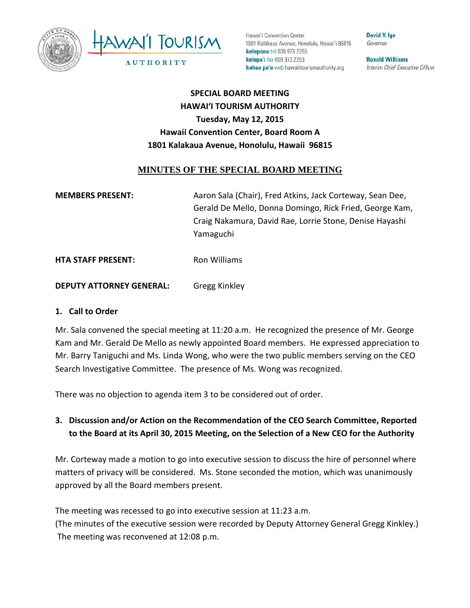



Hawai'i Convention Center 1801 Kalākaua Avenue, Honolulu, Hawai'i 96815 kelepona tel 808 973 2255 kelepa'i fax 808 973 2253 kahua pa'a web hawaiitourismauthority.org

**David Y. Ige** Governor

**Ronald Williams** Interim Chief Executive Officer

# **SPECIAL BOARD MEETING HAWAI'I TOURISM AUTHORITY Tuesday, May 12, 2015 Hawaii Convention Center, Board Room A 1801 Kalakaua Avenue, Honolulu, Hawaii 96815**

#### **MINUTES OF THE SPECIAL BOARD MEETING**

**MEMBERS PRESENT:** Aaron Sala (Chair), Fred Atkins, Jack Corteway, Sean Dee, Gerald De Mello, Donna Domingo, Rick Fried, George Kam, Craig Nakamura, David Rae, Lorrie Stone, Denise Hayashi Yamaguchi

**HTA STAFF PRESENT:** Ron Williams

**DEPUTY ATTORNEY GENERAL:** Gregg Kinkley

#### **1. Call to Order**

Mr. Sala convened the special meeting at 11:20 a.m. He recognized the presence of Mr. George Kam and Mr. Gerald De Mello as newly appointed Board members. He expressed appreciation to Mr. Barry Taniguchi and Ms. Linda Wong, who were the two public members serving on the CEO Search Investigative Committee. The presence of Ms. Wong was recognized.

There was no objection to agenda item 3 to be considered out of order.

# **3. Discussion and/or Action on the Recommendation of the CEO Search Committee, Reported to the Board at its April 30, 2015 Meeting, on the Selection of a New CEO for the Authority**

Mr. Corteway made a motion to go into executive session to discuss the hire of personnel where matters of privacy will be considered. Ms. Stone seconded the motion, which was unanimously approved by all the Board members present.

The meeting was recessed to go into executive session at 11:23 a.m.

(The minutes of the executive session were recorded by Deputy Attorney General Gregg Kinkley.) The meeting was reconvened at 12:08 p.m.